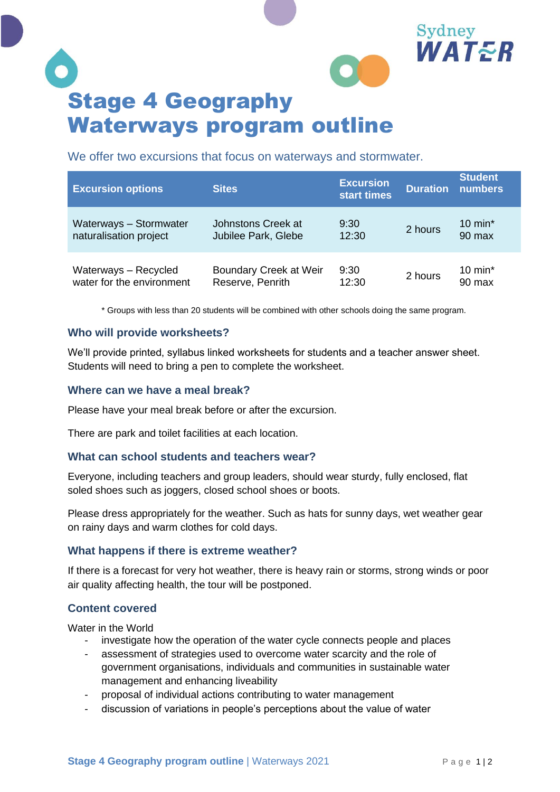

We offer two excursions that focus on waterways and stormwater.

| <b>Excursion options</b>  | <b>Sites</b>           | <b>Excursion</b><br>start times | <b>Duration</b> | <b>Student</b><br>numbers |
|---------------------------|------------------------|---------------------------------|-----------------|---------------------------|
| Waterways - Stormwater    | Johnstons Creek at     | 9:30                            | 2 hours         | 10 min $*$                |
| naturalisation project    | Jubilee Park, Glebe    | 12:30                           |                 | 90 max                    |
| Waterways - Recycled      | Boundary Creek at Weir | 9:30                            | 2 hours         | 10 $min*$                 |
| water for the environment | Reserve, Penrith       | 12:30                           |                 | 90 max                    |

\* Groups with less than 20 students will be combined with other schools doing the same program.

## **Who will provide worksheets?**

We'll provide printed, syllabus linked worksheets for students and a teacher answer sheet. Students will need to bring a pen to complete the worksheet.

## **Where can we have a meal break?**

Please have your meal break before or after the excursion.

There are park and toilet facilities at each location.

#### **What can school students and teachers wear?**

Everyone, including teachers and group leaders, should wear sturdy, fully enclosed, flat soled shoes such as joggers, closed school shoes or boots.

Please dress appropriately for the weather. Such as hats for sunny days, wet weather gear on rainy days and warm clothes for cold days.

#### **What happens if there is extreme weather?**

If there is a forecast for very hot weather, there is heavy rain or storms, strong winds or poor air quality affecting health, the tour will be postponed.

# **Content covered**

Water in the World

- investigate how the operation of the water cycle connects people and places
- assessment of strategies used to overcome water scarcity and the role of government organisations, individuals and communities in sustainable water management and enhancing liveability
- proposal of individual actions contributing to water management
- discussion of variations in people's perceptions about the value of water